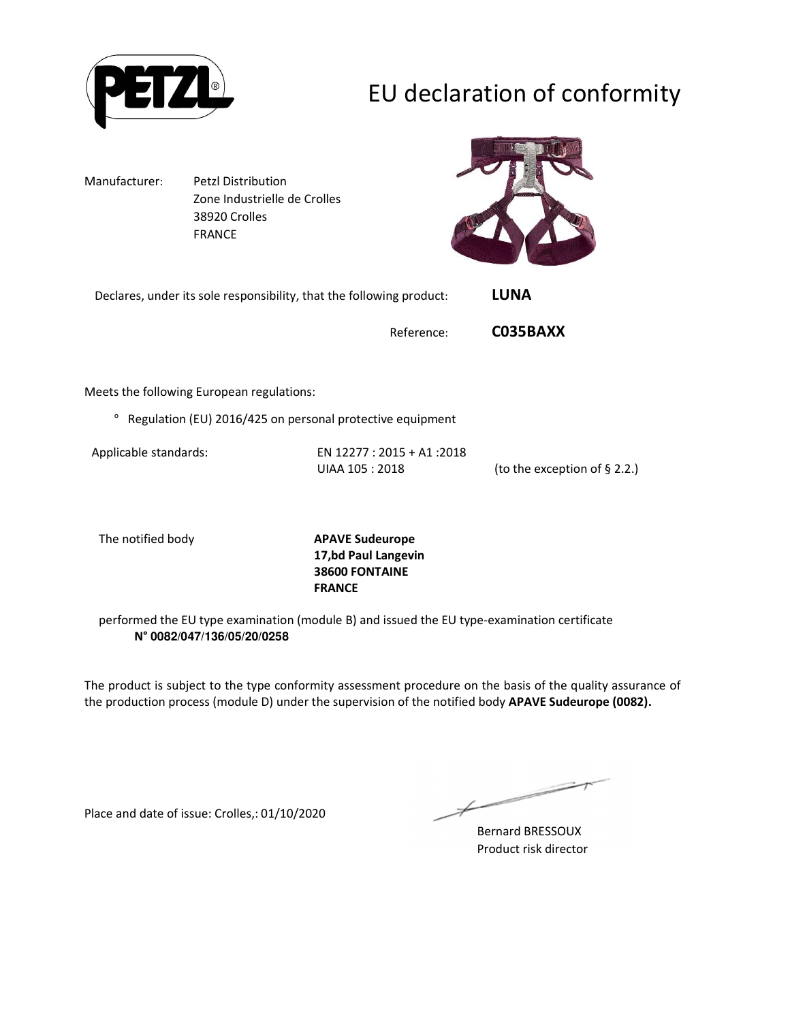

# EU declaration of conformity

Manufacturer: Petzl Distribution Zone Industrielle de Crolles 38920 Crolles FRANCE



| Declares, under its sole responsibility, that the following product: | <b>LUNA</b> |  |
|----------------------------------------------------------------------|-------------|--|
|----------------------------------------------------------------------|-------------|--|

Reference: **C035BAXX**

Meets the following European regulations:

° Regulation (EU) 2016/425 on personal protective equipment

Applicable standards: EN 12277 : 2015 + A1 :2018 UIAA 105 : 2018 (to the exception of § 2.2.)

The notified body **APAVE Sudeurope 17,bd Paul Langevin 38600 FONTAINE FRANCE**

performed the EU type examination (module B) and issued the EU type-examination certificate **N° 0082/047/136/05/20/0258**

The product is subject to the type conformity assessment procedure on the basis of the quality assurance of the production process (module D) under the supervision of the notified body **APAVE Sudeurope (0082).**

Place and date of issue: Crolles,: 01/10/2020

Bernard BRESSOUX Product risk director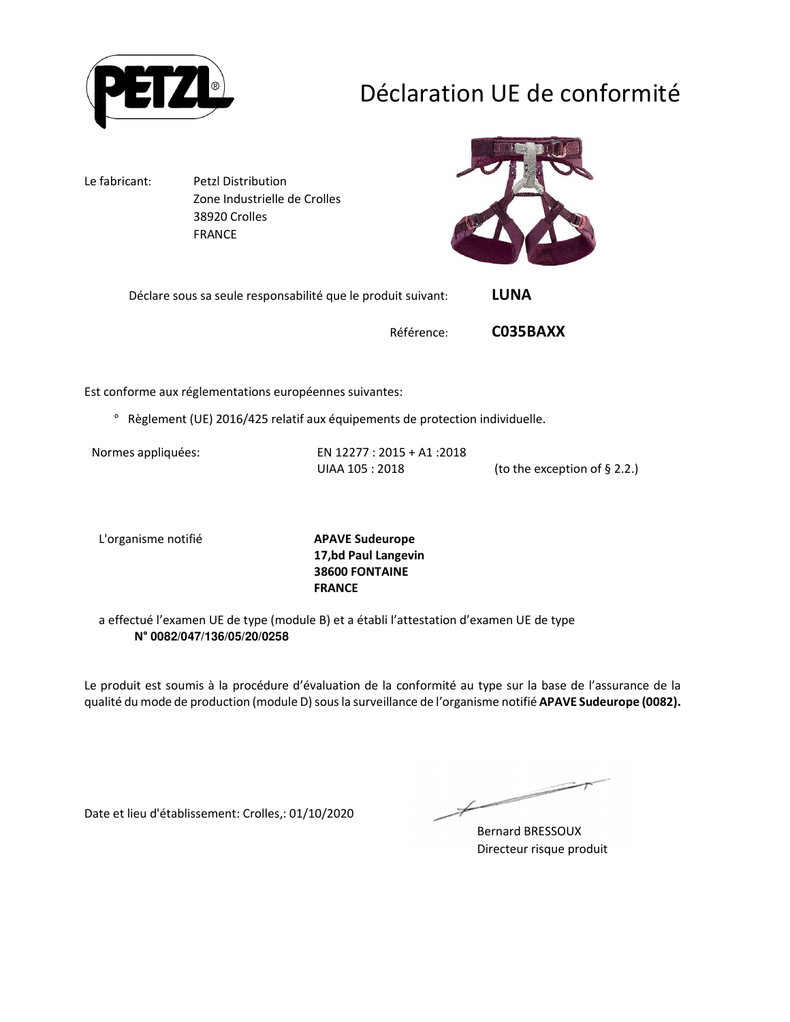

# Déclaration UE de conformité

Le fabricant: Petzl Distribution Zone Industrielle de Crolles 38920 Crolles FRANCE



Déclare sous sa seule responsabilité que le produit suivant: **LUNA** 

Référence: **C035BAXX**

Est conforme aux réglementations européennes suivantes:

° Règlement (UE) 2016/425 relatif aux équipements de protection individuelle.

Normes appliquées: EN 12277 : 2015 + A1 :2018 UIAA 105 : 2018 (to the exception of § 2.2.)

L'organisme notifié **APAVE Sudeurope**

**17,bd Paul Langevin 38600 FONTAINE FRANCE**

a effectué l'examen UE de type (module B) et a établi l'attestation d'examen UE de type **N° 0082/047/136/05/20/0258**

Le produit est soumis à la procédure d'évaluation de la conformité au type sur la base de l'assurance de la qualité du mode de production (module D) sous la surveillance de l'organisme notifié **APAVE Sudeurope (0082).**

Date et lieu d'établissement: Crolles,: 01/10/2020

Bernard BRESSOUX Directeur risque produit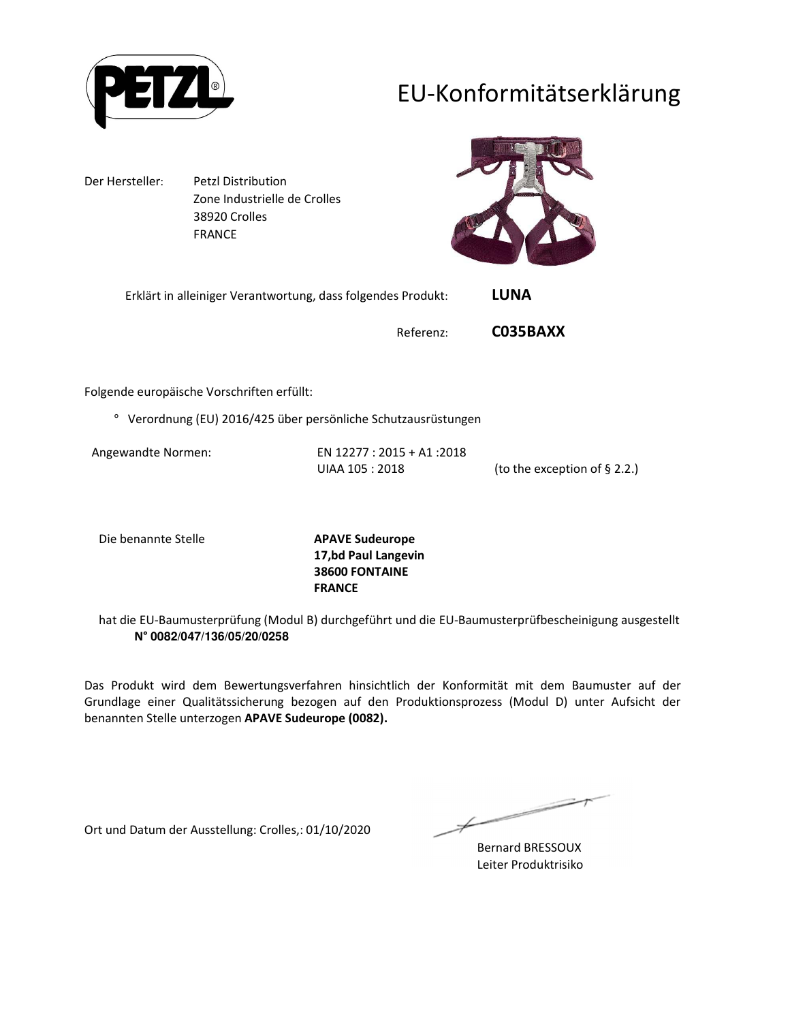

## EU-Konformitätserklärung

Der Hersteller: Petzl Distribution Zone Industrielle de Crolles 38920 Crolles FRANCE



| Erklärt in alleiniger Verantwortung, dass folgendes Produkt: | LUNA |
|--------------------------------------------------------------|------|
|--------------------------------------------------------------|------|

Referenz: **C035BAXX**

Folgende europäische Vorschriften erfüllt:

° Verordnung (EU) 2016/425 über persönliche Schutzausrüstungen

Angewandte Normen: EN 12277 : 2015 + A1 :2018 UIAA 105 : 2018 (to the exception of § 2.2.)

Die benannte Stelle **APAVE Sudeurope**

**17,bd Paul Langevin 38600 FONTAINE FRANCE**

hat die EU-Baumusterprüfung (Modul B) durchgeführt und die EU-Baumusterprüfbescheinigung ausgestellt **N° 0082/047/136/05/20/0258**

Das Produkt wird dem Bewertungsverfahren hinsichtlich der Konformität mit dem Baumuster auf der Grundlage einer Qualitätssicherung bezogen auf den Produktionsprozess (Modul D) unter Aufsicht der benannten Stelle unterzogen **APAVE Sudeurope (0082).**

Ort und Datum der Ausstellung: Crolles,: 01/10/2020

∠

Bernard BRESSOUX Leiter Produktrisiko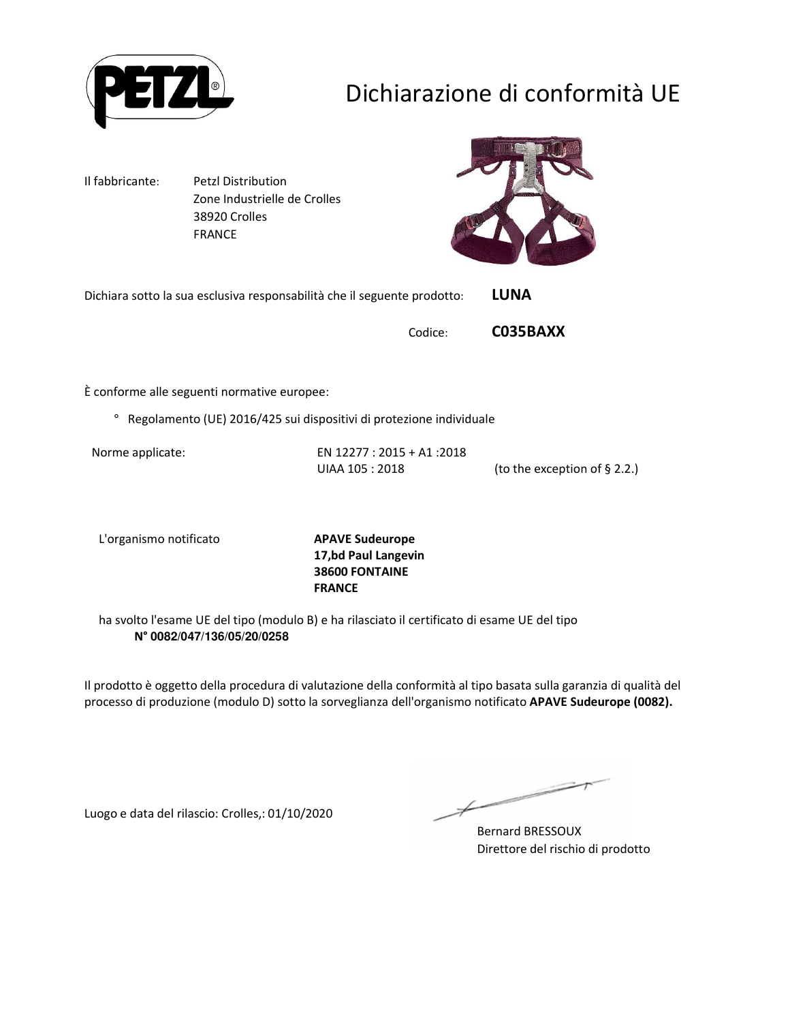

# Dichiarazione di conformità UE

Il fabbricante: Petzl Distribution Zone Industrielle de Crolles 38920 Crolles FRANCE



Dichiara sotto la sua esclusiva responsabilità che il seguente prodotto: **LUNA** 

Codice: **C035BAXX**

È conforme alle seguenti normative europee:

° Regolamento (UE) 2016/425 sui dispositivi di protezione individuale

Norme applicate: EN 12277 : 2015 + A1 :2018 UIAA 105 : 2018 (to the exception of § 2.2.)

L'organismo notificato **APAVE Sudeurope**

**17,bd Paul Langevin 38600 FONTAINE FRANCE**

ha svolto l'esame UE del tipo (modulo B) e ha rilasciato il certificato di esame UE del tipo **N° 0082/047/136/05/20/0258**

Il prodotto è oggetto della procedura di valutazione della conformità al tipo basata sulla garanzia di qualità del processo di produzione (modulo D) sotto la sorveglianza dell'organismo notificato **APAVE Sudeurope (0082).**

Luogo e data del rilascio: Crolles,: 01/10/2020

Bernard BRESSOUX Direttore del rischio di prodotto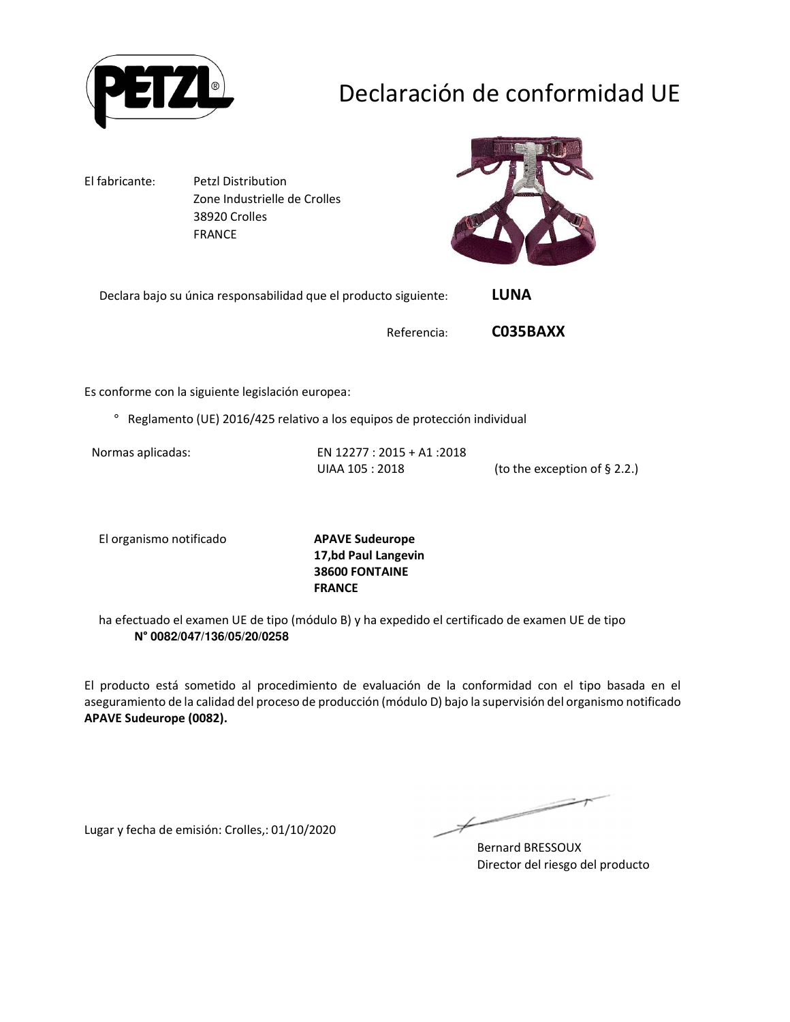

# Declaración de conformidad UE

El fabricante: Petzl Distribution Zone Industrielle de Crolles 38920 Crolles FRANCE



Declara bajo su única responsabilidad que el producto siguiente: **LUNA** 

Referencia: **C035BAXX**

Es conforme con la siguiente legislación europea:

° Reglamento (UE) 2016/425 relativo a los equipos de protección individual

Normas aplicadas: EN 12277 : 2015 + A1 :2018 UIAA 105 : 2018 (to the exception of § 2.2.)

El organismo notificado **APAVE Sudeurope**

**17,bd Paul Langevin 38600 FONTAINE FRANCE**

ha efectuado el examen UE de tipo (módulo B) y ha expedido el certificado de examen UE de tipo **N° 0082/047/136/05/20/0258**

El producto está sometido al procedimiento de evaluación de la conformidad con el tipo basada en el aseguramiento de la calidad del proceso de producción (módulo D) bajo la supervisión del organismo notificado **APAVE Sudeurope (0082).**

Lugar y fecha de emisión: Crolles,: 01/10/2020

 $\not\leftharpoondown$ 

Bernard BRESSOUX Director del riesgo del producto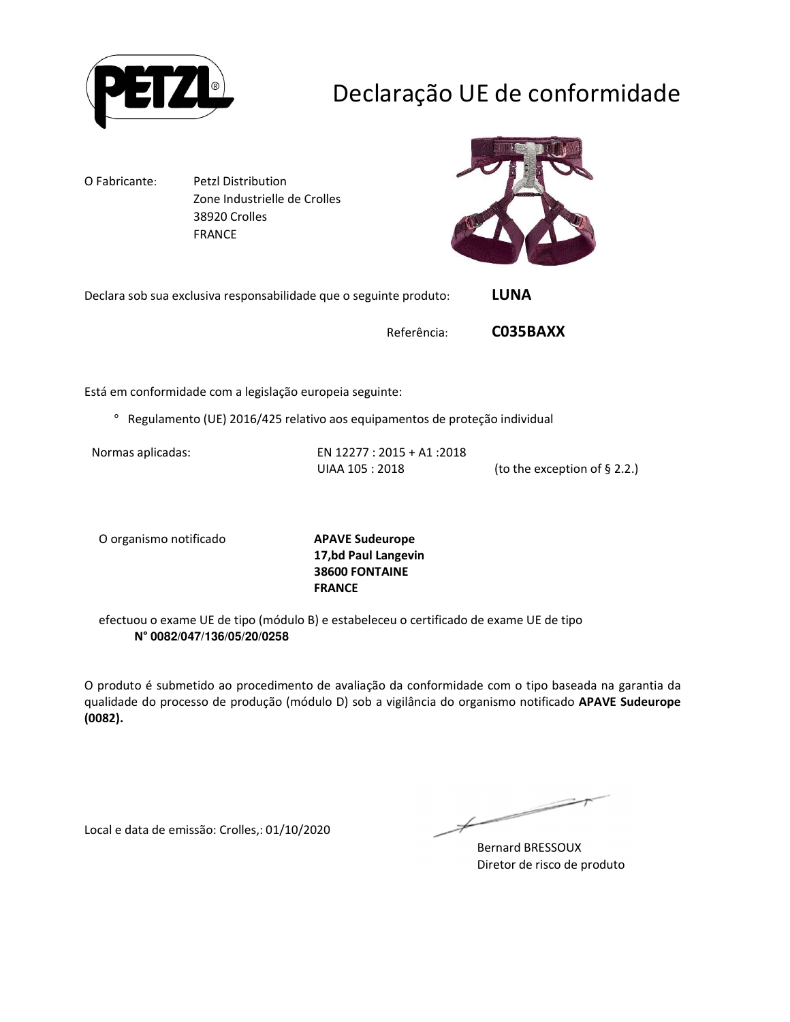

# Declaração UE de conformidade

O Fabricante: Petzl Distribution Zone Industrielle de Crolles 38920 Crolles FRANCE



Declara sob sua exclusiva responsabilidade que o seguinte produto: **LUNA** 

Referência: **C035BAXX**

Está em conformidade com a legislação europeia seguinte:

° Regulamento (UE) 2016/425 relativo aos equipamentos de proteção individual

Normas aplicadas: EN 12277 : 2015 + A1 :2018 UIAA 105 : 2018 (to the exception of § 2.2.)

O organismo notificado **APAVE Sudeurope**

**17,bd Paul Langevin 38600 FONTAINE FRANCE**

efectuou o exame UE de tipo (módulo B) e estabeleceu o certificado de exame UE de tipo **N° 0082/047/136/05/20/0258**

O produto é submetido ao procedimento de avaliação da conformidade com o tipo baseada na garantia da qualidade do processo de produção (módulo D) sob a vigilância do organismo notificado **APAVE Sudeurope (0082).**

Local e data de emissão: Crolles,: 01/10/2020

 $\not\leftharpoondown$ 

Bernard BRESSOUX Diretor de risco de produto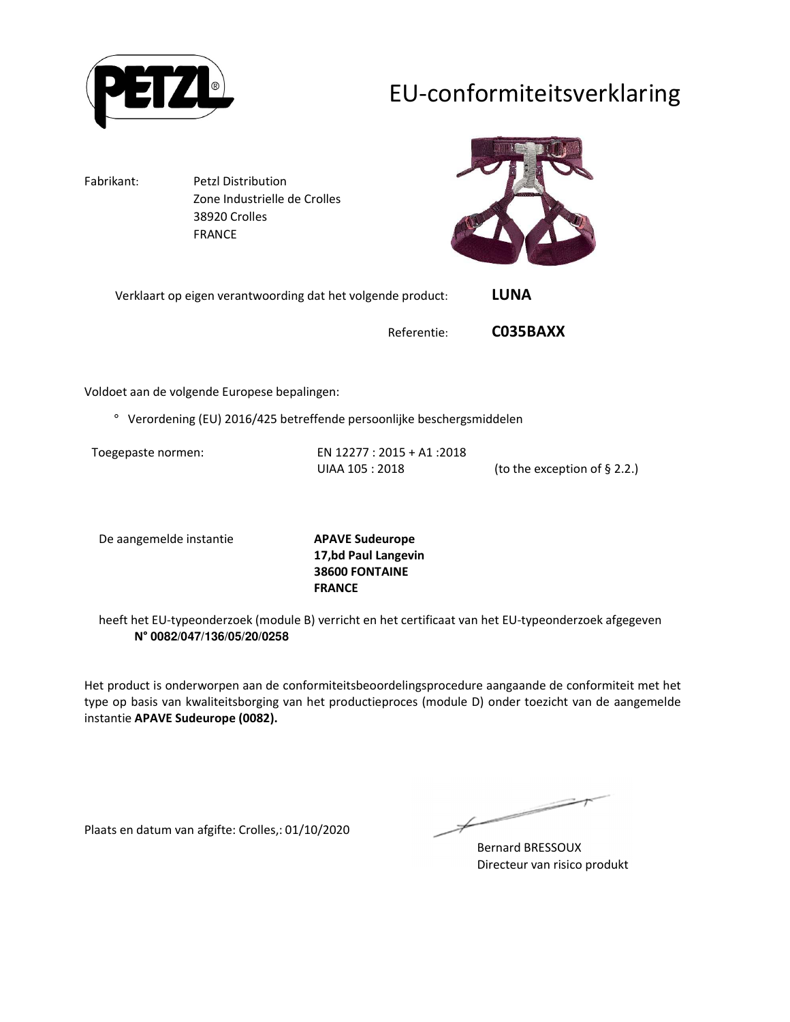

## EU-conformiteitsverklaring

Fabrikant: Petzl Distribution Zone Industrielle de Crolles 38920 Crolles FRANCE



Verklaart op eigen verantwoording dat het volgende product: **LUNA** 

Referentie: **C035BAXX**

Voldoet aan de volgende Europese bepalingen:

° Verordening (EU) 2016/425 betreffende persoonlijke beschergsmiddelen

Toegepaste normen: EN 12277 : 2015 + A1 :2018 UIAA 105 : 2018 (to the exception of § 2.2.)

De aangemelde instantie **APAVE Sudeurope**

**17,bd Paul Langevin 38600 FONTAINE FRANCE**

heeft het EU-typeonderzoek (module B) verricht en het certificaat van het EU-typeonderzoek afgegeven **N° 0082/047/136/05/20/0258**

Het product is onderworpen aan de conformiteitsbeoordelingsprocedure aangaande de conformiteit met het type op basis van kwaliteitsborging van het productieproces (module D) onder toezicht van de aangemelde instantie **APAVE Sudeurope (0082).**

Plaats en datum van afgifte: Crolles,: 01/10/2020

 $\not\leftharpoondown$ 

Bernard BRESSOUX Directeur van risico produkt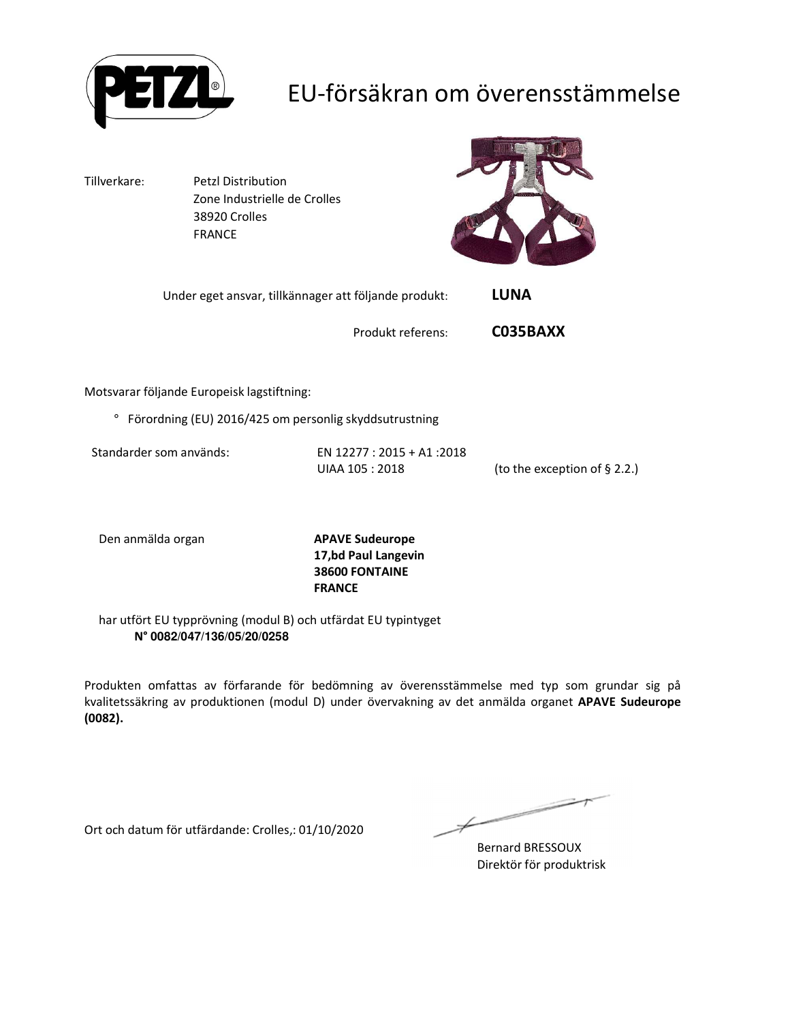

## EU-försäkran om överensstämmelse

Tillverkare: Petzl Distribution Zone Industrielle de Crolles 38920 Crolles FRANCE



Under eget ansvar, tillkännager att följande produkt: **LUNA** 

Produkt referens: **C035BAXX**

Motsvarar följande Europeisk lagstiftning:

° Förordning (EU) 2016/425 om personlig skyddsutrustning

Standarder som används: EN 12277 : 2015 + A1 :2018

UIAA 105 : 2018 (to the exception of § 2.2.)

Den anmälda organ **APAVE Sudeurope**

**17,bd Paul Langevin 38600 FONTAINE FRANCE**

har utfört EU typprövning (modul B) och utfärdat EU typintyget **N° 0082/047/136/05/20/0258**

Produkten omfattas av förfarande för bedömning av överensstämmelse med typ som grundar sig på kvalitetssäkring av produktionen (modul D) under övervakning av det anmälda organet **APAVE Sudeurope (0082).**

Ort och datum för utfärdande: Crolles,: 01/10/2020

Ł

Bernard BRESSOUX Direktör för produktrisk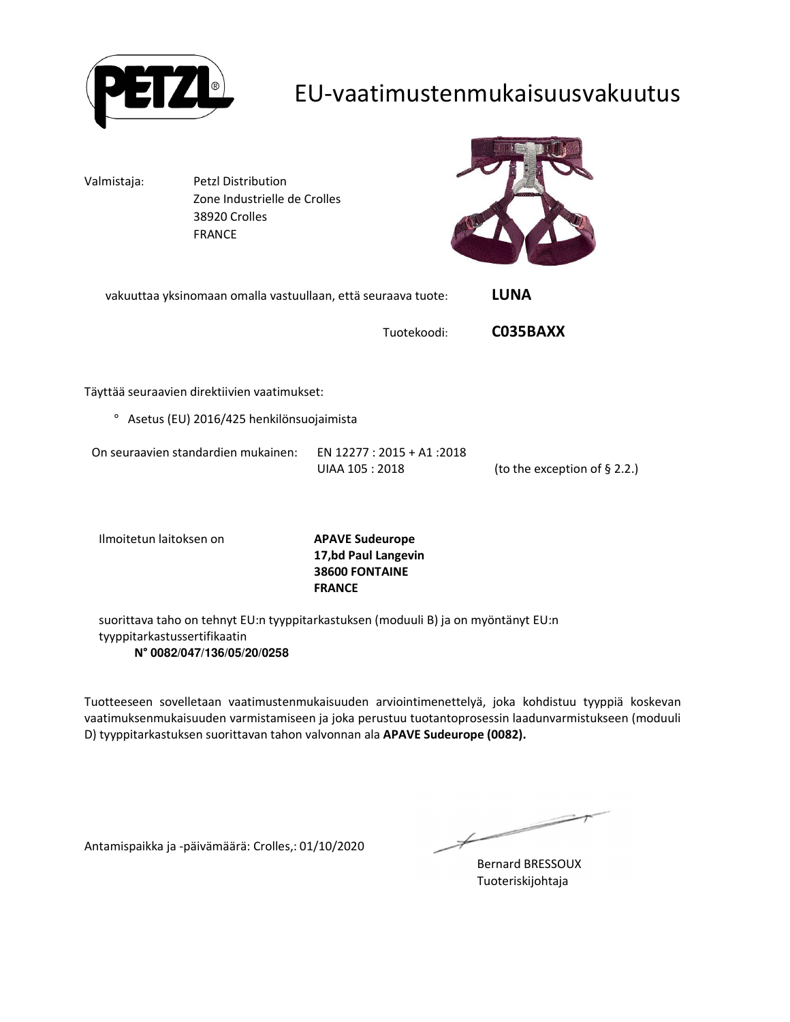

### EU-vaatimustenmukaisuusvakuutus

Valmistaja: Petzl Distribution Zone Industrielle de Crolles 38920 Crolles FRANCE



vakuuttaa yksinomaan omalla vastuullaan, että seuraava tuote: **LUNA** 

Tuotekoodi: **C035BAXX**

Täyttää seuraavien direktiivien vaatimukset:

° Asetus (EU) 2016/425 henkilönsuojaimista

| On seuraavien standardien mukainen: | EN 12277 : 2015 + A1 :2018 |                                 |
|-------------------------------------|----------------------------|---------------------------------|
|                                     | UIAA 105 : 2018            | (to the exception of $\S$ 2.2.) |

Ilmoitetun laitoksen on **APAVE Sudeurope**

**17,bd Paul Langevin 38600 FONTAINE FRANCE**

suorittava taho on tehnyt EU:n tyyppitarkastuksen (moduuli B) ja on myöntänyt EU:n tyyppitarkastussertifikaatin **N° 0082/047/136/05/20/0258**

Tuotteeseen sovelletaan vaatimustenmukaisuuden arviointimenettelyä, joka kohdistuu tyyppiä koskevan vaatimuksenmukaisuuden varmistamiseen ja joka perustuu tuotantoprosessin laadunvarmistukseen (moduuli D) tyyppitarkastuksen suorittavan tahon valvonnan ala **APAVE Sudeurope (0082).**

Antamispaikka ja -päivämäärä: Crolles,: 01/10/2020

 $\overline{\phantom{a}}$ 

Bernard BRESSOUX Tuoteriskijohtaja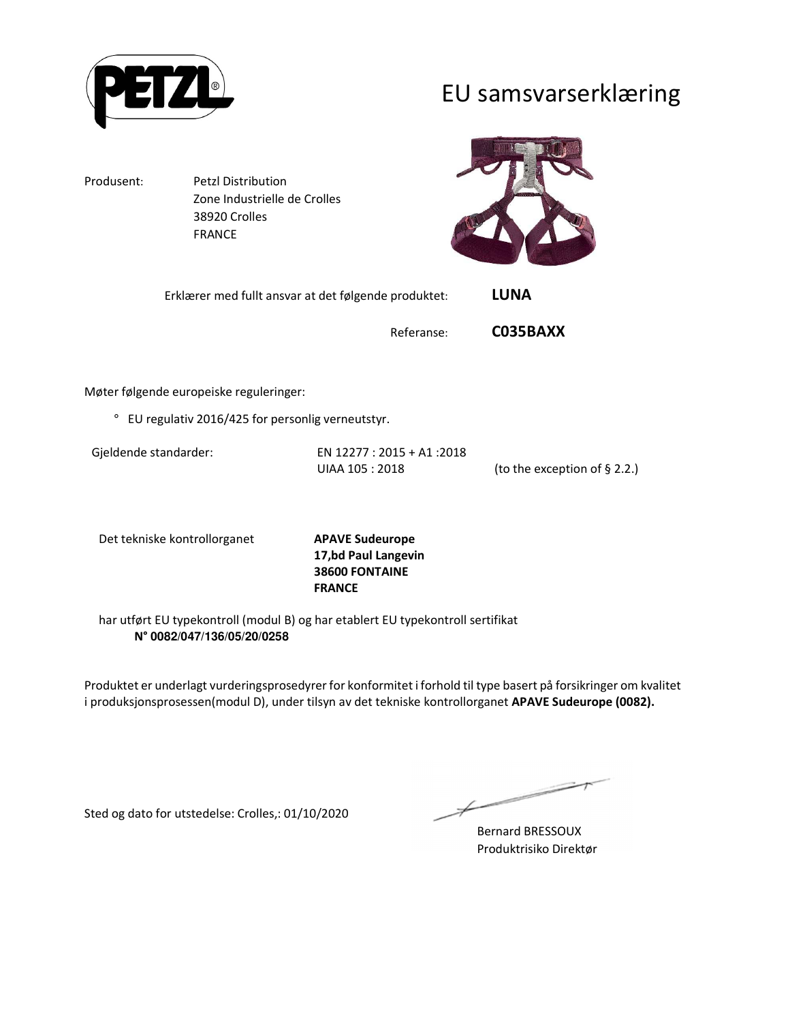

EU samsvarserklæring

Produsent: Petzl Distribution Zone Industrielle de Crolles 38920 Crolles FRANCE



| Erklærer med fullt ansvar at det følgende produktet: | <b>LUNA</b> |
|------------------------------------------------------|-------------|
|                                                      |             |

Referanse: **C035BAXX**

Møter følgende europeiske reguleringer:

° EU regulativ 2016/425 for personlig verneutstyr.

Gjeldende standarder: EN 12277 : 2015 + A1 :2018 UIAA 105 : 2018 (to the exception of § 2.2.)

Det tekniske kontrollorganet **APAVE Sudeurope**

**17,bd Paul Langevin 38600 FONTAINE FRANCE**

har utført EU typekontroll (modul B) og har etablert EU typekontroll sertifikat **N° 0082/047/136/05/20/0258**

Produktet er underlagt vurderingsprosedyrer for konformitet i forhold til type basert på forsikringer om kvalitet i produksjonsprosessen(modul D), under tilsyn av det tekniske kontrollorganet **APAVE Sudeurope (0082).**

Sted og dato for utstedelse: Crolles,: 01/10/2020

Bernard BRESSOUX Produktrisiko Direktør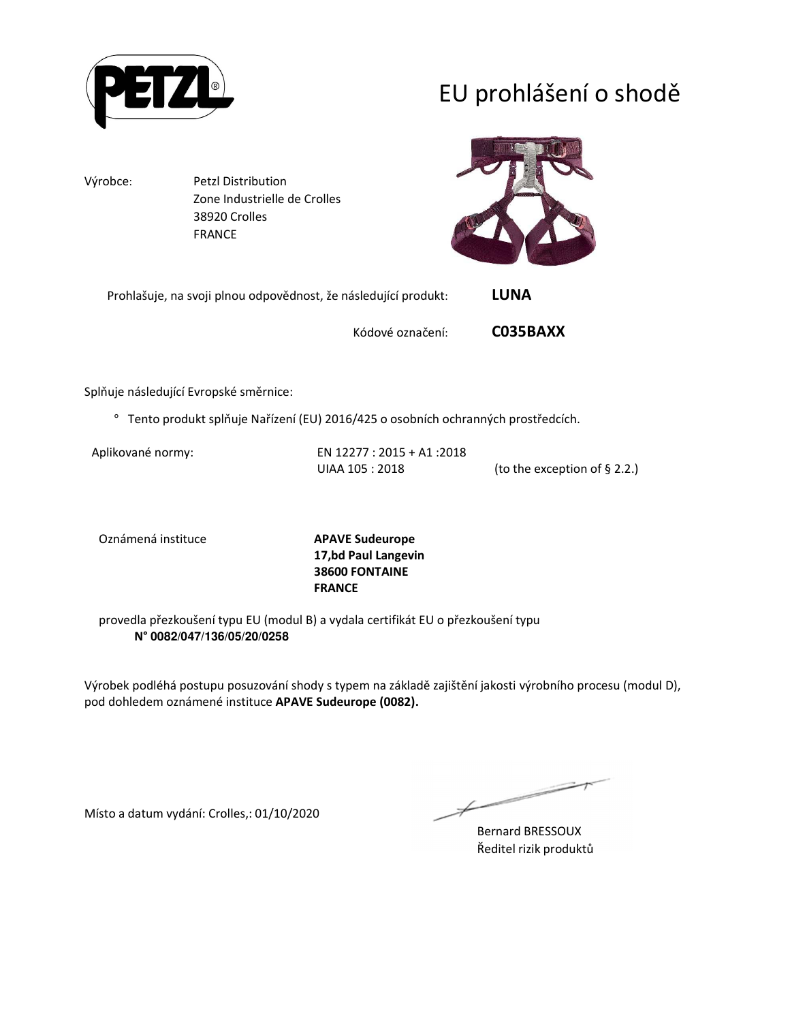

# EU prohlášení o shodě

Výrobce: Petzl Distribution Zone Industrielle de Crolles 38920 Crolles FRANCE



Prohlašuje, na svoji plnou odpovědnost, že následující produkt: **LUNA** 

Kódové označení: **C035BAXX**

Splňuje následující Evropské směrnice:

° Tento produkt splňuje Nařízení (EU) 2016/425 o osobních ochranných prostředcích.

Aplikované normy: EN 12277 : 2015 + A1 :2018 UIAA 105 : 2018 (to the exception of § 2.2.)

Oznámená instituce **APAVE Sudeurope**

**17,bd Paul Langevin 38600 FONTAINE FRANCE**

provedla přezkoušení typu EU (modul B) a vydala certifikát EU o přezkoušení typu **N° 0082/047/136/05/20/0258**

Výrobek podléhá postupu posuzování shody s typem na základě zajištění jakosti výrobního procesu (modul D), pod dohledem oznámené instituce **APAVE Sudeurope (0082).**

Místo a datum vydání: Crolles,: 01/10/2020

Bernard BRESSOUX Ředitel rizik produktů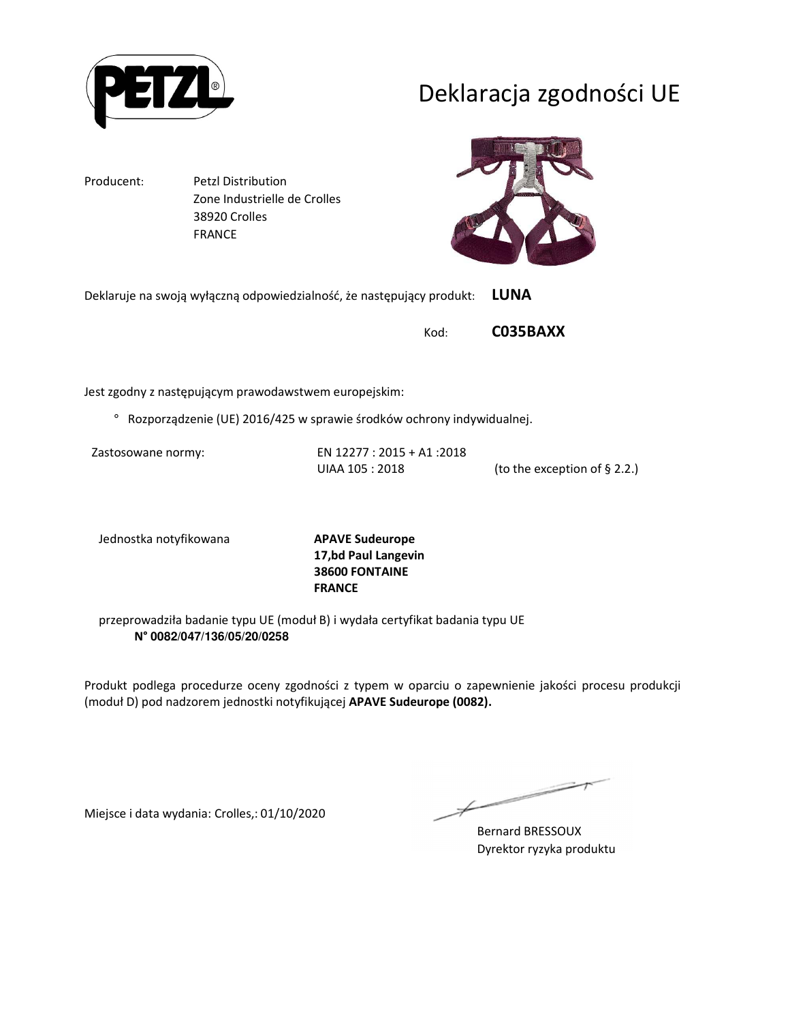

## Deklaracja zgodności UE

Producent: Petzl Distribution

 Zone Industrielle de Crolles 38920 Crolles FRANCE

Deklaruje na swoją wyłączną odpowiedzialność, że następujący produkt: **LUNA** 

Kod: **C035BAXX**

Jest zgodny z następującym prawodawstwem europejskim:

° Rozporządzenie (UE) 2016/425 w sprawie środków ochrony indywidualnej.

Zastosowane normy: EN 12277 : 2015 + A1 :2018 UIAA 105 : 2018 (to the exception of § 2.2.)

Jednostka notyfikowana **APAVE Sudeurope**

**17,bd Paul Langevin 38600 FONTAINE FRANCE**

przeprowadziła badanie typu UE (moduł B) i wydała certyfikat badania typu UE **N° 0082/047/136/05/20/0258**

Produkt podlega procedurze oceny zgodności z typem w oparciu o zapewnienie jakości procesu produkcji (moduł D) pod nadzorem jednostki notyfikującej **APAVE Sudeurope (0082).**

Miejsce i data wydania: Crolles,: 01/10/2020

Bernard BRESSOUX Dyrektor ryzyka produktu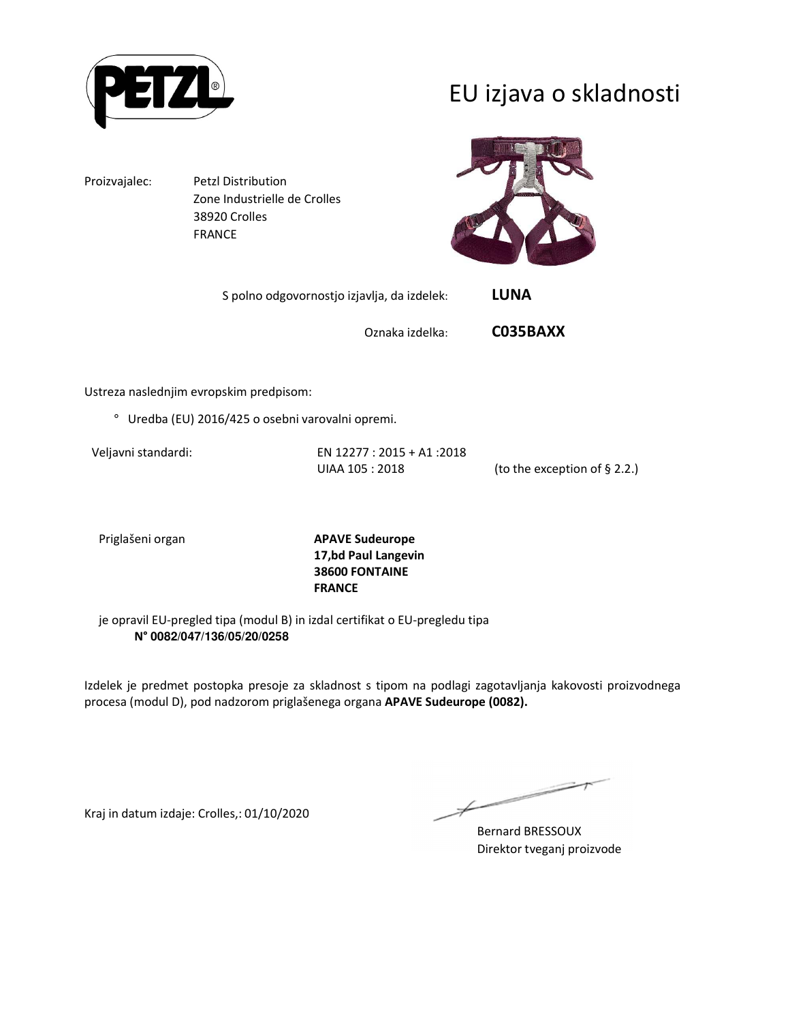

## EU izjava o skladnosti

Proizvajalec: Petzl Distribution Zone Industrielle de Crolles 38920 Crolles FRANCE



S polno odgovornostjo izjavlja, da izdelek: **LUNA** 

Oznaka izdelka: **C035BAXX**

Ustreza naslednjim evropskim predpisom:

° Uredba (EU) 2016/425 o osebni varovalni opremi.

Veljavni standardi: EN 12277 : 2015 + A1 :2018 UIAA 105 : 2018 (to the exception of § 2.2.)

Priglašeni organ **APAVE Sudeurope 17,bd Paul Langevin 38600 FONTAINE FRANCE**

je opravil EU-pregled tipa (modul B) in izdal certifikat o EU-pregledu tipa **N° 0082/047/136/05/20/0258**

Izdelek je predmet postopka presoje za skladnost s tipom na podlagi zagotavljanja kakovosti proizvodnega procesa (modul D), pod nadzorom priglašenega organa **APAVE Sudeurope (0082).**

Kraj in datum izdaje: Crolles,: 01/10/2020

Bernard BRESSOUX Direktor tveganj proizvode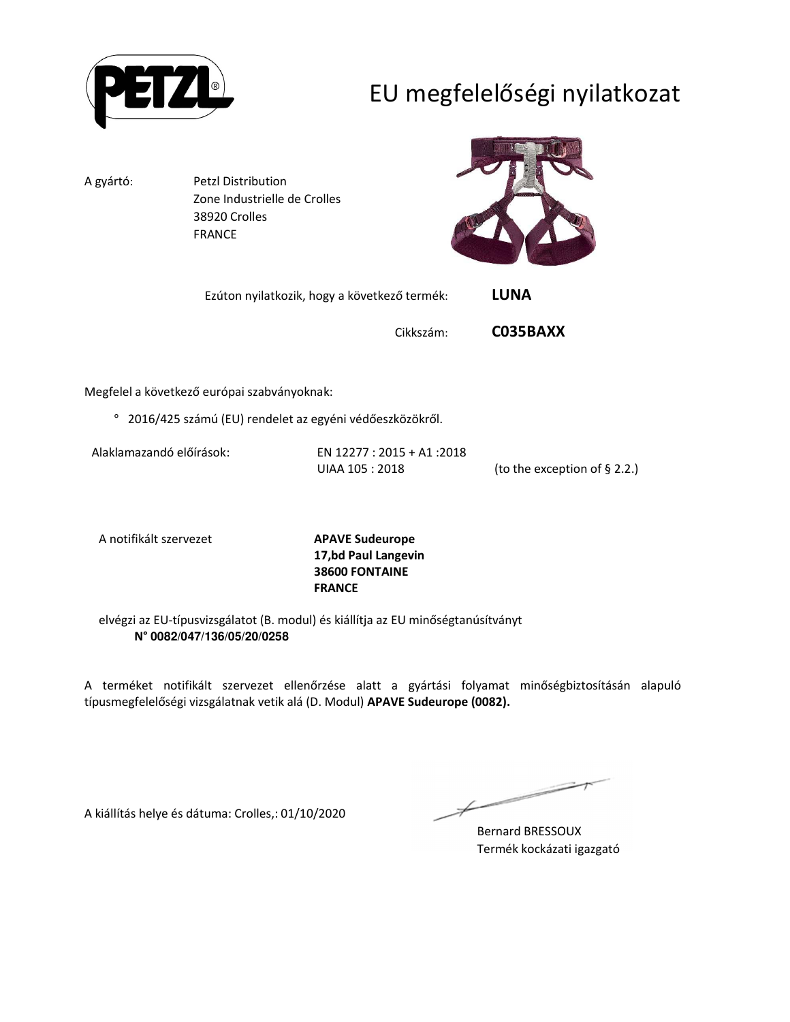

# EU megfelelőségi nyilatkozat

A gyártó: Petzl Distribution Zone Industrielle de Crolles 38920 Crolles FRANCE



| Ezúton nyilatkozik, hogy a következő termék: | LUNA |
|----------------------------------------------|------|
|                                              |      |

Cikkszám: **C035BAXX**

Megfelel a következő európai szabványoknak:

° 2016/425 számú (EU) rendelet az egyéni védőeszközökről.

Alaklamazandó előírások: EN 12277 : 2015 + A1 :2018

UIAA 105 : 2018 (to the exception of § 2.2.)

A notifikált szervezet **APAVE Sudeurope**

**17,bd Paul Langevin 38600 FONTAINE FRANCE**

elvégzi az EU-típusvizsgálatot (B. modul) és kiállítja az EU minőségtanúsítványt **N° 0082/047/136/05/20/0258**

A terméket notifikált szervezet ellenőrzése alatt a gyártási folyamat minőségbiztosításán alapuló típusmegfelelőségi vizsgálatnak vetik alá (D. Modul) **APAVE Sudeurope (0082).**

A kiállítás helye és dátuma: Crolles,: 01/10/2020

Bernard BRESSOUX Termék kockázati igazgató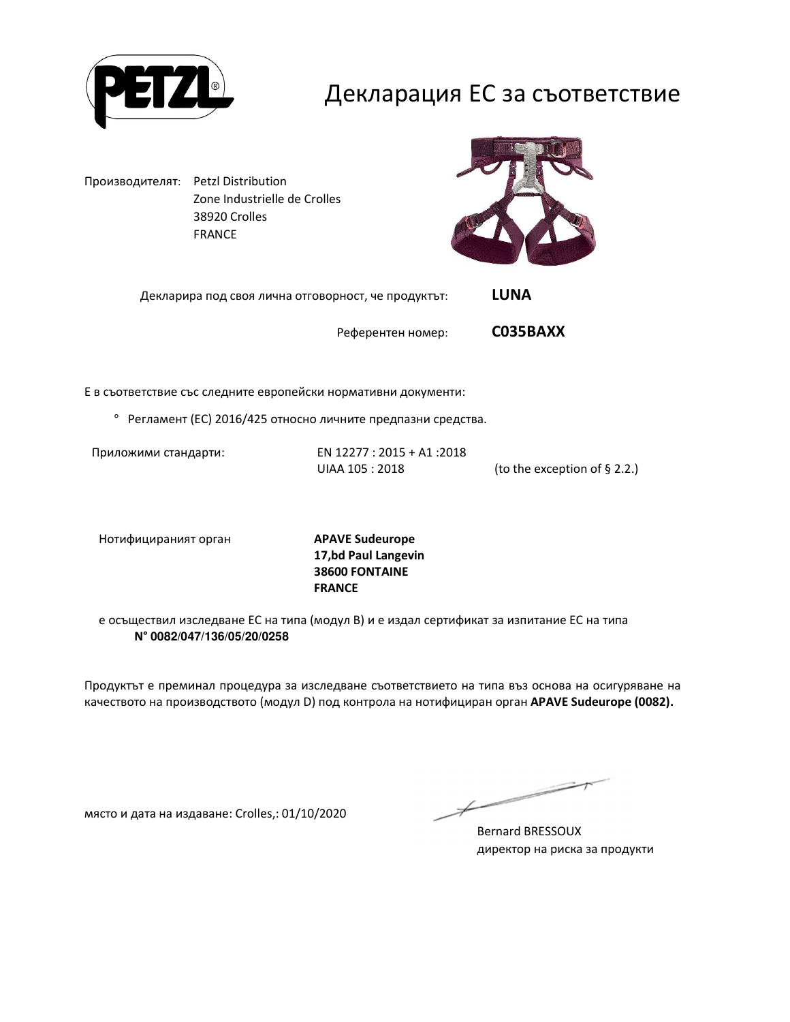

#### Декларация ЕС за съответствие

Производителят: Petzl Distribution Zone Industrielle de Crolles 38920 Crolles FRANCE



Декларира под своя лична отговорност, че продуктът: **LUNA** 

Референтен номер: **C035BAXX**

Е в съответствие със следните европейски нормативни документи:

° Регламент (ЕС) 2016/425 относно личните предпазни средства.

Приложими стандарти: EN 12277 : 2015 + A1 :2018 UIAA 105 : 2018 (to the exception of § 2.2.)

Нотифицираният орган **APAVE Sudeurope**

**17,bd Paul Langevin 38600 FONTAINE FRANCE**

е осъществил изследване ЕС на типа (модул В) и е издал сертификат за изпитание ЕС на типа **N° 0082/047/136/05/20/0258**

Продуктът е преминал процедура за изследване съответствието на типа въз основа на осигуряване на качеството на производството (модул D) под контрола на нотифициран орган **APAVE Sudeurope (0082).**

място и дата на издаване: Crolles,: 01/10/2020

Bernard BRESSOUX директор на риска за продукти